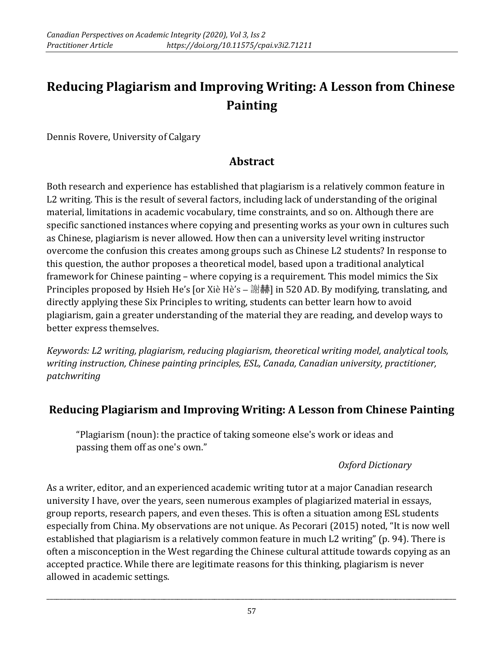# **Reducing Plagiarism and Improving Writing: A Lesson from Chinese Painting**

Dennis Rovere, University of Calgary

#### **Abstract**

Both research and experience has established that plagiarism is a relatively common feature in L2 writing. This is the result of several factors, including lack of understanding of the original material, limitations in academic vocabulary, time constraints, and so on. Although there are specific sanctioned instances where copying and presenting works as your own in cultures such as Chinese, plagiarism is never allowed. How then can a university level writing instructor overcome the confusion this creates among groups such as Chinese L2 students? In response to this question, the author proposes a theoretical model, based upon a traditional analytical framework for Chinese painting – where copying is a requirement. This model mimics the Six Principles proposed by Hsieh He's [or Xiè Hè's – 謝赫] in 520 AD. By modifying, translating, and directly applying these Six Principles to writing, students can better learn how to avoid plagiarism, gain a greater understanding of the material they are reading, and develop ways to better express themselves.

*Keywords: L2 writing, plagiarism, reducing plagiarism, theoretical writing model, analytical tools, writing instruction, Chinese painting principles, ESL, Canada, Canadian university, practitioner, patchwriting* 

## **Reducing Plagiarism and Improving Writing: A Lesson from Chinese Painting**

"Plagiarism (noun): the practice of taking someone else's work or ideas and passing them off as one's own."

#### *Oxford Dictionary*

As a writer, editor, and an experienced academic writing tutor at a major Canadian research university I have, over the years, seen numerous examples of plagiarized material in essays, group reports, research papers, and even theses. This is often a situation among ESL students especially from China. My observations are not unique. As Pecorari (2015) noted, "It is now well established that plagiarism is a relatively common feature in much L2 writing" (p. 94). There is often a misconception in the West regarding the Chinese cultural attitude towards copying as an accepted practice. While there are legitimate reasons for this thinking, plagiarism is never allowed in academic settings.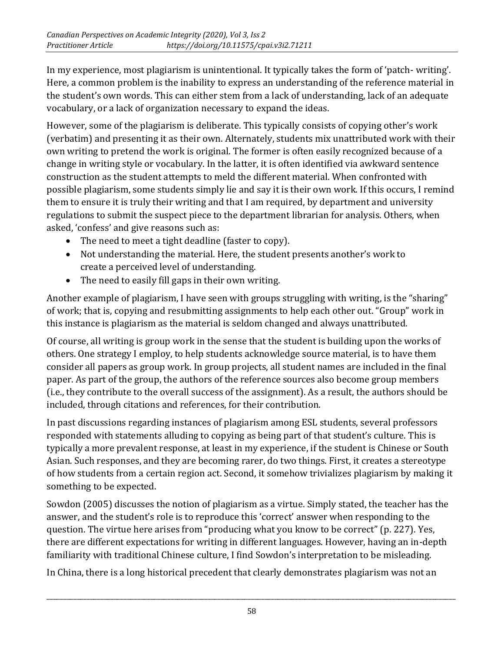In my experience, most plagiarism is unintentional. It typically takes the form of 'patch- writing'. Here, a common problem is the inability to express an understanding of the reference material in the student's own words. This can either stem from a lack of understanding, lack of an adequate vocabulary, or a lack of organization necessary to expand the ideas.

However, some of the plagiarism is deliberate. This typically consists of copying other's work (verbatim) and presenting it as their own. Alternately, students mix unattributed work with their own writing to pretend the work is original. The former is often easily recognized because of a change in writing style or vocabulary. In the latter, it is often identified via awkward sentence construction as the student attempts to meld the different material. When confronted with possible plagiarism, some students simply lie and say it is their own work. If this occurs, I remind them to ensure it is truly their writing and that I am required, by department and university regulations to submit the suspect piece to the department librarian for analysis. Others, when asked, 'confess' and give reasons such as:

- The need to meet a tight deadline (faster to copy).
- Not understanding the material. Here, the student presents another's work to create a perceived level of understanding.
- The need to easily fill gaps in their own writing.

Another example of plagiarism, I have seen with groups struggling with writing, is the "sharing" of work; that is, copying and resubmitting assignments to help each other out. "Group" work in this instance is plagiarism as the material is seldom changed and always unattributed.

Of course, all writing is group work in the sense that the student is building upon the works of others. One strategy I employ, to help students acknowledge source material, is to have them consider all papers as group work. In group projects, all student names are included in the final paper. As part of the group, the authors of the reference sources also become group members (i.e., they contribute to the overall success of the assignment). As a result, the authors should be included, through citations and references, for their contribution.

In past discussions regarding instances of plagiarism among ESL students, several professors responded with statements alluding to copying as being part of that student's culture. This is typically a more prevalent response, at least in my experience, if the student is Chinese or South Asian. Such responses, and they are becoming rarer, do two things. First, it creates a stereotype of how students from a certain region act. Second, it somehow trivializes plagiarism by making it something to be expected.

Sowdon (2005) discusses the notion of plagiarism as a virtue. Simply stated, the teacher has the answer, and the student's role is to reproduce this 'correct' answer when responding to the question. The virtue here arises from "producing what you know to be correct" (p. 227). Yes, there are different expectations for writing in different languages. However, having an in-depth familiarity with traditional Chinese culture, I find Sowdon's interpretation to be misleading.

In China, there is a long historical precedent that clearly demonstrates plagiarism was not an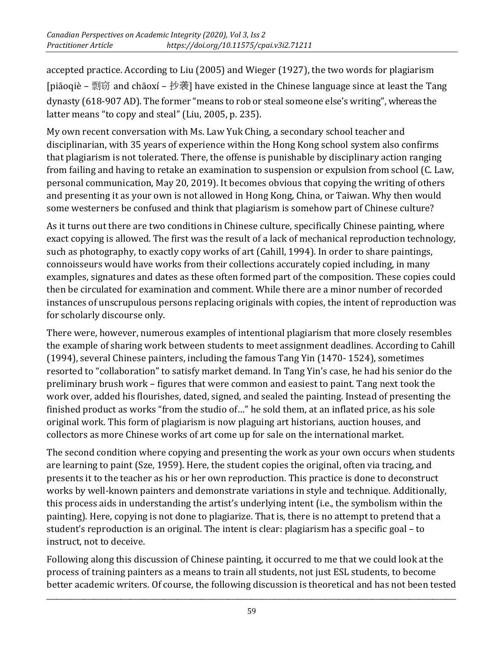accepted practice. According to Liu (2005) and Wieger (1927), the two words for plagiarism [piāoqiè – 剽窃 and chāoxí – 抄袭] have existed in the Chinese language since at least the Tang dynasty (618-907 AD). The former "means to rob or steal someone else's writing", whereas the latter means "to copy and steal" (Liu, 2005, p. 235).

My own recent conversation with Ms. Law Yuk Ching, a secondary school teacher and disciplinarian, with 35 years of experience within the Hong Kong school system also confirms that plagiarism is not tolerated. There, the offense is punishable by disciplinary action ranging from failing and having to retake an examination to suspension or expulsion from school (C. Law, personal communication, May 20, 2019). It becomes obvious that copying the writing of others and presenting it as your own is not allowed in Hong Kong, China, or Taiwan. Why then would some westerners be confused and think that plagiarism is somehow part of Chinese culture?

As it turns out there are two conditions in Chinese culture, specifically Chinese painting, where exact copying is allowed. The first was the result of a lack of mechanical reproduction technology, such as photography, to exactly copy works of art (Cahill, 1994). In order to share paintings, connoisseurs would have works from their collections accurately copied including, in many examples, signatures and dates as these often formed part of the composition. These copies could then be circulated for examination and comment. While there are a minor number of recorded instances of unscrupulous persons replacing originals with copies, the intent of reproduction was for scholarly discourse only.

There were, however, numerous examples of intentional plagiarism that more closely resembles the example of sharing work between students to meet assignment deadlines. According to Cahill (1994), several Chinese painters, including the famous Tang Yin (1470- 1524), sometimes resorted to "collaboration" to satisfy market demand. In Tang Yin's case, he had his senior do the preliminary brush work – figures that were common and easiest to paint. Tang next took the work over, added his flourishes, dated, signed, and sealed the painting. Instead of presenting the finished product as works "from the studio of…" he sold them, at an inflated price, as his sole original work. This form of plagiarism is now plaguing art historians, auction houses, and collectors as more Chinese works of art come up for sale on the international market.

The second condition where copying and presenting the work as your own occurs when students are learning to paint (Sze, 1959). Here, the student copies the original, often via tracing, and presents it to the teacher as his or her own reproduction. This practice is done to deconstruct works by well-known painters and demonstrate variations in style and technique. Additionally, this process aids in understanding the artist's underlying intent (i.e., the symbolism within the painting). Here, copying is not done to plagiarize. That is, there is no attempt to pretend that a student's reproduction is an original. The intent is clear: plagiarism has a specific goal – to instruct, not to deceive.

Following along this discussion of Chinese painting, it occurred to me that we could look at the process of training painters as a means to train all students, not just ESL students, to become better academic writers. Of course, the following discussion is theoretical and has not been tested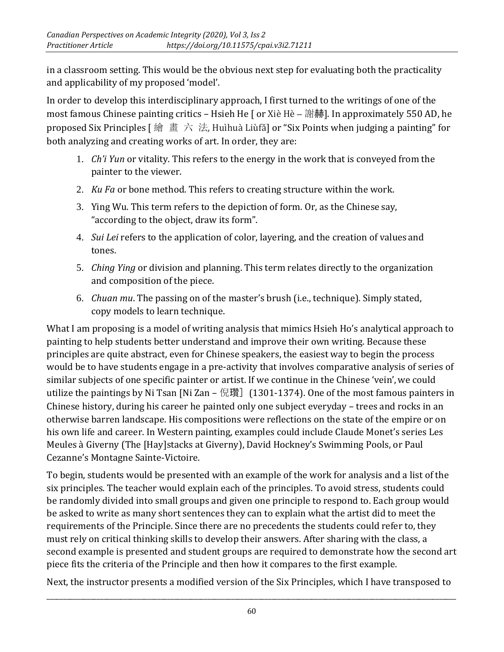in a classroom setting. This would be the obvious next step for evaluating both the practicality and applicability of my proposed 'model'.

In order to develop this interdisciplinary approach, I first turned to the writings of one of the most famous Chinese painting critics – Hsieh He [ or Xiè Hè – 謝赫]. In approximately 550 AD, he proposed Six Principles [ 繪 畫 六 法, Huìhuà Liùfǎ] or "Six Points when judging a painting" for both analyzing and creating works of art. In order, they are:

- 1. *Ch'i Yun* or vitality. This refers to the energy in the work that is conveyed from the painter to the viewer.
- 2. *Ku Fa* or bone method. This refers to creating structure within the work.
- 3. Ying Wu. This term refers to the depiction of form. Or, as the Chinese say, "according to the object, draw its form".
- 4. *Sui Lei* refers to the application of color, layering, and the creation of values and tones.
- 5. *Ching Ying* or division and planning. This term relates directly to the organization and composition of the piece.
- 6. *Chuan mu*. The passing on of the master's brush (i.e., technique). Simply stated, copy models to learn technique.

What I am proposing is a model of writing analysis that mimics Hsieh Ho's analytical approach to painting to help students better understand and improve their own writing. Because these principles are quite abstract, even for Chinese speakers, the easiest way to begin the process would be to have students engage in a pre-activity that involves comparative analysis of series of similar subjects of one specific painter or artist. If we continue in the Chinese 'vein', we could utilize the paintings by Ni Tsan [Ni Zan – 倪瓚] (1301-1374). One of the most famous painters in Chinese history, during his career he painted only one subject everyday – trees and rocks in an otherwise barren landscape. His compositions were reflections on the state of the empire or on his own life and career. In Western painting, examples could include Claude Monet's series Les Meules à Giverny (The [Hay]stacks at Giverny), David Hockney's Swimming Pools, or Paul Cezanne's Montagne Sainte-Victoire.

To begin, students would be presented with an example of the work for analysis and a list of the six principles. The teacher would explain each of the principles. To avoid stress, students could be randomly divided into small groups and given one principle to respond to. Each group would be asked to write as many short sentences they can to explain what the artist did to meet the requirements of the Principle. Since there are no precedents the students could refer to, they must rely on critical thinking skills to develop their answers. After sharing with the class, a second example is presented and student groups are required to demonstrate how the second art piece fits the criteria of the Principle and then how it compares to the first example.

Next, the instructor presents a modified version of the Six Principles, which I have transposed to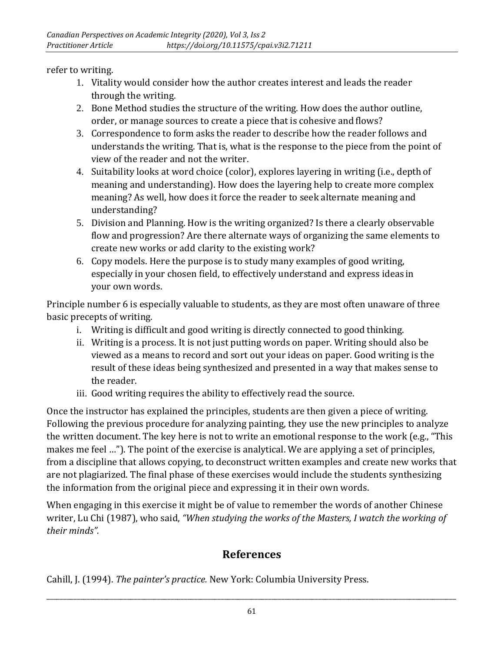refer to writing.

- 1. Vitality would consider how the author creates interest and leads the reader through the writing.
- 2. Bone Method studies the structure of the writing. How does the author outline, order, or manage sources to create a piece that is cohesive and flows?
- 3. Correspondence to form asks the reader to describe how the reader follows and understands the writing. That is, what is the response to the piece from the point of view of the reader and not the writer.
- 4. Suitability looks at word choice (color), explores layering in writing (i.e., depth of meaning and understanding). How does the layering help to create more complex meaning? As well, how does it force the reader to seek alternate meaning and understanding?
- 5. Division and Planning. How is the writing organized? Is there a clearly observable flow and progression? Are there alternate ways of organizing the same elements to create new works or add clarity to the existing work?
- 6. Copy models. Here the purpose is to study many examples of good writing, especially in your chosen field, to effectively understand and express ideas in your own words.

Principle number 6 is especially valuable to students, as they are most often unaware of three basic precepts of writing.

- i. Writing is difficult and good writing is directly connected to good thinking.
- ii. Writing is a process. It is not just putting words on paper. Writing should also be viewed as a means to record and sort out your ideas on paper. Good writing is the result of these ideas being synthesized and presented in a way that makes sense to the reader.
- iii. Good writing requires the ability to effectively read the source.

Once the instructor has explained the principles, students are then given a piece of writing. Following the previous procedure for analyzing painting, they use the new principles to analyze the written document. The key here is not to write an emotional response to the work (e.g., "This makes me feel …"). The point of the exercise is analytical. We are applying a set of principles, from a discipline that allows copying, to deconstruct written examples and create new works that are not plagiarized. The final phase of these exercises would include the students synthesizing the information from the original piece and expressing it in their own words.

When engaging in this exercise it might be of value to remember the words of another Chinese writer, Lu Chi (1987), who said, *"When studying the works of the Masters, I watch the working of their minds".*

## **References**

Cahill, J. (1994). *The painter's practice.* New York: Columbia University Press.